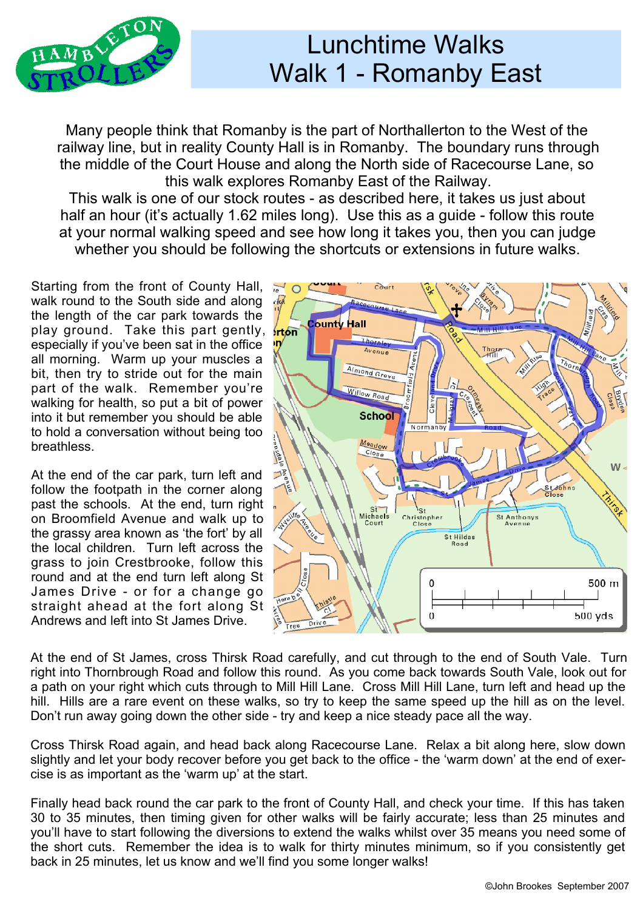

## Lunchtime Walks Walk 1 - Romanby East

Many people think that Romanby is the part of Northallerton to the West of the railway line, but in reality County Hall is in Romanby. The boundary runs through the middle of the Court House and along the North side of Racecourse Lane, so this walk explores Romanby East of the Railway.

This walk is one of our stock routes - as described here, it takes us just about half an hour (it's actually 1.62 miles long). Use this as a guide - follow this route at your normal walking speed and see how long it takes you, then you can judge whether you should be following the shortcuts or extensions in future walks.

Starting from the front of County Hall, and walk round to the South side and along the local point walk round to the South side and along the length of the car park towards the play ground. Take this part gently, **then** especially if you've been sat in the office  $\mathbf{w}$ all morning. Warm up your muscles a bit, then try to stride out for the main part of the walk. Remember you're walking for health, so put a bit of power into it but remember you should be able to hold a conversation without being too breathless.

At the end of the car park, turn left and follow the footpath in the corner along past the schools. At the end, turn right on Broomfield Avenue and walk up to the grassy area known as 'the fort' by all the local children. Turn left across the grass to join Crestbrooke, follow this round and at the end turn left along St James Drive - or for a change go straight ahead at the fort along St Andrews and left into St James Drive.



At the end of St James, cross Thirsk Road carefully, and cut through to the end of South Vale. Turn right into Thornbrough Road and follow this round. As you come back towards South Vale, look out for a path on your right which cuts through to Mill Hill Lane. Cross Mill Hill Lane, turn left and head up the hill. Hills are a rare event on these walks, so try to keep the same speed up the hill as on the level. Don't run away going down the other side - try and keep a nice steady pace all the way.

Cross Thirsk Road again, and head back along Racecourse Lane. Relax a bit along here, slow down slightly and let your body recover before you get back to the office - the 'warm down' at the end of exer cise is as important as the 'warm up' at the start.

Finally head back round the car park to the front of County Hall, and check your time. If this has taken 30 to 35 minutes, then timing given for other walks will be fairly accurate; less than 25 minutes and you'll have to start following the diversions to extend the walks whilst over 35 means you need some of the short cuts. Remember the idea is to walk for thirty minutes minimum, so if you consistently get back in 25 minutes, let us know and we'll find you some longer walks!